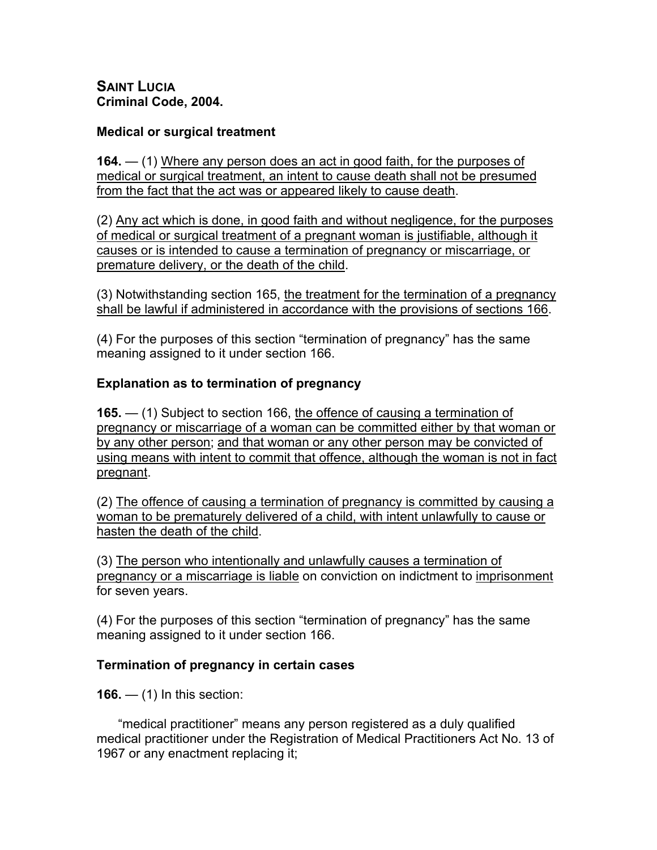**SAINT LUCIA Criminal Code, 2004.**

#### **Medical or surgical treatment**

**164.** — (1) Where any person does an act in good faith, for the purposes of medical or surgical treatment, an intent to cause death shall not be presumed from the fact that the act was or appeared likely to cause death.

(2) Any act which is done, in good faith and without negligence, for the purposes of medical or surgical treatment of a pregnant woman is justifiable, although it causes or is intended to cause a termination of pregnancy or miscarriage, or premature delivery, or the death of the child.

(3) Notwithstanding section 165, the treatment for the termination of a pregnancy shall be lawful if administered in accordance with the provisions of sections 166.

(4) For the purposes of this section "termination of pregnancy" has the same meaning assigned to it under section 166.

### **Explanation as to termination of pregnancy**

**165.** — (1) Subject to section 166, the offence of causing a termination of pregnancy or miscarriage of a woman can be committed either by that woman or by any other person; and that woman or any other person may be convicted of using means with intent to commit that offence, although the woman is not in fact pregnant.

(2) The offence of causing a termination of pregnancy is committed by causing a woman to be prematurely delivered of a child, with intent unlawfully to cause or hasten the death of the child.

(3) The person who intentionally and unlawfully causes a termination of pregnancy or a miscarriage is liable on conviction on indictment to imprisonment for seven years.

(4) For the purposes of this section "termination of pregnancy" has the same meaning assigned to it under section 166.

#### **Termination of pregnancy in certain cases**

**166.** — (1) In this section:

 "medical practitioner" means any person registered as a duly qualified medical practitioner under the Registration of Medical Practitioners Act No. 13 of 1967 or any enactment replacing it;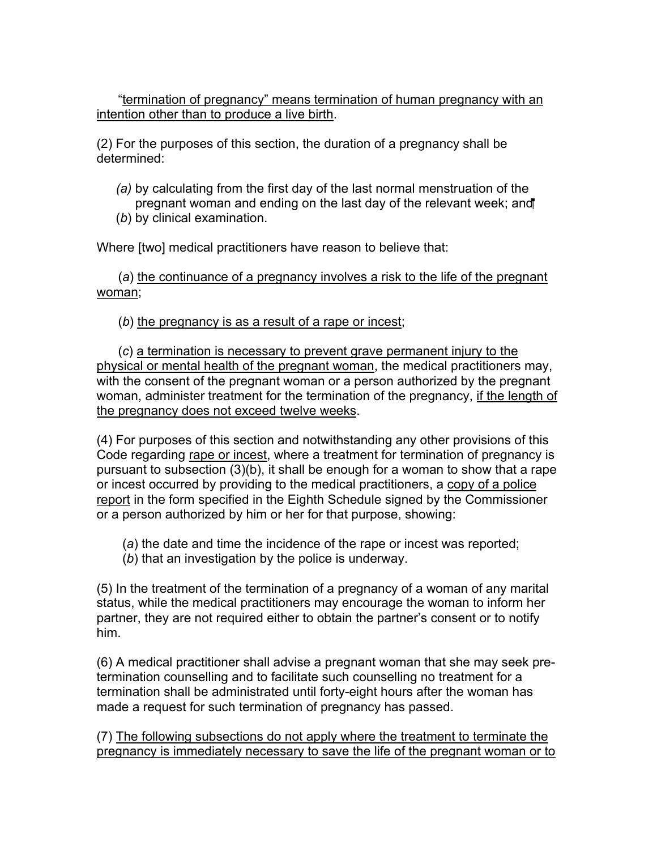"termination of pregnancy" means termination of human pregnancy with an intention other than to produce a live birth.

(2) For the purposes of this section, the duration of a pregnancy shall be determined:

*(a)* by calculating from the first day of the last normal menstruation of the pregnant woman and ending on the last day of the relevant week; and (*b*) by clinical examination.

Where [two] medical practitioners have reason to believe that:

 (*a*) the continuance of a pregnancy involves a risk to the life of the pregnant woman;

(*b*) the pregnancy is as a result of a rape or incest;

 (*c*) a termination is necessary to prevent grave permanent injury to the physical or mental health of the pregnant woman, the medical practitioners may, with the consent of the pregnant woman or a person authorized by the pregnant woman, administer treatment for the termination of the pregnancy, if the length of the pregnancy does not exceed twelve weeks.

(4) For purposes of this section and notwithstanding any other provisions of this Code regarding rape or incest, where a treatment for termination of pregnancy is pursuant to subsection (3)(b), it shall be enough for a woman to show that a rape or incest occurred by providing to the medical practitioners, a copy of a police report in the form specified in the Eighth Schedule signed by the Commissioner or a person authorized by him or her for that purpose, showing:

- (*a*) the date and time the incidence of the rape or incest was reported;
- (*b*) that an investigation by the police is underway.

(5) In the treatment of the termination of a pregnancy of a woman of any marital status, while the medical practitioners may encourage the woman to inform her partner, they are not required either to obtain the partner's consent or to notify him.

(6) A medical practitioner shall advise a pregnant woman that she may seek pretermination counselling and to facilitate such counselling no treatment for a termination shall be administrated until forty-eight hours after the woman has made a request for such termination of pregnancy has passed.

(7) The following subsections do not apply where the treatment to terminate the pregnancy is immediately necessary to save the life of the pregnant woman or to